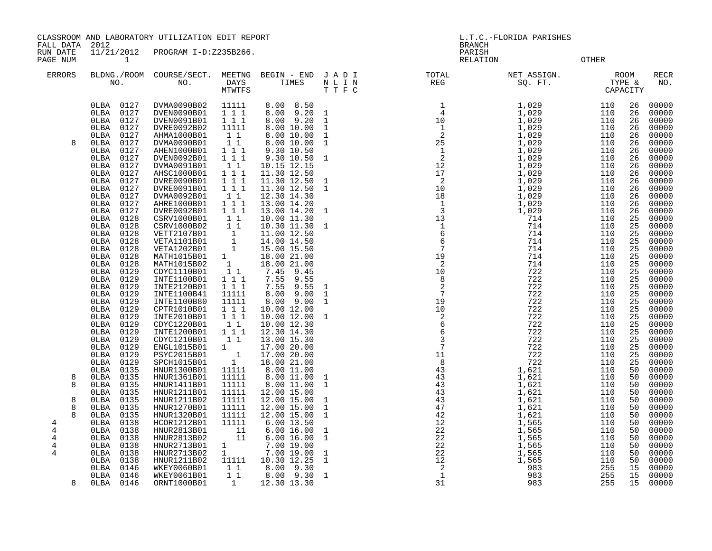CLASSROOM AND LABORATORY UTILIZATION EDIT REPORT LETTER LORIDA PARISHES L.T.C.-FLORIDA PARISHES

FALL DATA 2012 BRANCH

RUN DATE 11/21/2012 PROGRAM I-D:Z235B266. PAGE NUM 1 CHILD 1999 CONTROL 2001 CONTROL 2002 COMPANY CONTROL 2003

| <b>ERRORS</b> |   | NO.       |      | BLDNG./ROOM COURSE/SECT.<br>NO. | MEETNG<br>DAYS<br><b>MTWTFS</b> | BEGIN - END<br>TIMES | JADI<br>$\hbox{N}$ L I $\hbox{N}$<br>T T F C | TOTAL<br>REG | NET ASSIGN.<br>SQ. FT. |     | <b>ROOM</b><br>TYPE &<br>CAPACITY | RECR<br>NO. |
|---------------|---|-----------|------|---------------------------------|---------------------------------|----------------------|----------------------------------------------|--------------|------------------------|-----|-----------------------------------|-------------|
|               |   | OLBA 0127 |      | DVMA0090B02                     | 11111                           | 8.00 8.50            |                                              |              | 1,029                  | 110 | 26                                | 00000       |
|               |   | 0LBA      | 0127 | DVEN0090B01                     | 1 1 1                           | 8.00 9.20 1          |                                              |              | 1,029                  | 110 | 26                                | 00000       |
|               |   | 0LBA      | 0127 | DVEN0091B01                     | 111                             | 8.00 9.20            | $\overline{1}$                               |              | 1,029                  | 110 | 26                                | 00000       |
|               |   | 0LBA      | 0127 | DVRE0092B02                     | 11111                           | 8.00 10.00           | $\mathbf{1}$                                 |              | 1,029                  | 110 | 26                                | 00000       |
|               |   | 0LBA      | 0127 | AHMA1000B01                     | 1 1                             | 8.00 10.00           | $\mathbf{1}$                                 |              | 1,029                  | 110 | 26                                | 00000       |
|               | 8 | 0LBA      | 0127 | DVMA0090B01                     | 11                              | 8.00 10.00           | $\mathbf{1}$                                 |              | 1,029                  | 110 | 26                                | 00000       |
|               |   | 0LBA      | 0127 | AHEN1000B01                     | 111                             | 9.30 10.50           |                                              |              | 1,029                  | 110 | 26                                | 00000       |
|               |   | 0LBA      | 0127 | DVEN0092B01                     | 111                             | 9.30 10.50           | $\mathbf{1}$                                 |              | 1,029                  | 110 | 26                                | 00000       |
|               |   | 0LBA      | 0127 | DVMA0091B01                     | 11                              | 10.15 12.15          |                                              |              | 1,029                  | 110 | 26                                | 00000       |
|               |   | 0LBA      | 0127 | AHSC1000B01                     | 111                             | 11.30 12.50          |                                              |              | 1,029                  | 110 | 26                                | 00000       |
|               |   | OLBA      | 0127 | DVRE0090B01                     | 111                             | 11.30 12.50          | $\mathbf{1}$                                 |              | 1,029                  | 110 | 26                                | 00000       |
|               |   | 0LBA      | 0127 | DVRE0091B01                     | 111                             | 11.30 12.50 1        |                                              |              | 1,029                  | 110 | 26                                | 00000       |
|               |   | 0LBA      | 0127 | DVMA0092B01                     | $1\quad1$                       | 12.30 14.30          |                                              |              | 1,029                  | 110 | 26                                | 00000       |
|               |   | OLBA      | 0127 | AHRE1000B01                     | $1 1 1$                         | 13.00 14.20          |                                              |              | 1,029                  | 110 | 26                                | 00000       |
|               |   | 0LBA      | 0127 | DVRE0092B01                     | 111                             | 13.00 14.20 1        |                                              |              | 1,029                  | 110 | 26                                | 00000       |
|               |   | 0LBA      | 0128 | CSRV1000B01                     | $1\quad1$                       | 10.00 11.30          |                                              |              | 714                    | 110 | 25                                | 00000       |
|               |   | 0LBA      | 0128 | CSRV1000B02                     | $1\quad1$                       | 10.30 11.30          | $\mathbf{1}$                                 |              | 714                    | 110 | 25                                | 00000       |
|               |   | 0LBA      | 0128 | VETT2107B01                     |                                 | 11.00 12.50          |                                              |              | 714                    | 110 | 25                                | 00000       |
|               |   | OLBA      | 0128 | VETA1101B01                     | $\frac{1}{1}$                   | 14.00 14.50          |                                              |              | 714                    | 110 | 25                                | 00000       |
|               |   | 0LBA      | 0128 | VETA1202B01                     | $\overline{\mathbf{1}}$         | 15.00 15.50          |                                              |              | 714                    | 110 | 25                                | 00000       |
|               |   | OLBA      | 0128 | MATH1015B01                     | $1 \quad$                       | 18.00 21.00          |                                              |              | 714                    | 110 | 25                                | 00000       |
|               |   | 0LBA      | 0128 | MATH1015B02                     | 1                               | 18.00 21.00          |                                              |              | 714                    | 110 | 25                                | 00000       |
|               |   | OLBA      | 0129 | CDYC1110B01                     | $1\quad1$                       | 7.45<br>9.45         |                                              |              | 722                    | 110 | 25                                | 00000       |
|               |   | 0LBA      | 0129 | INTE1100B01                     | 1 1 1                           | 7.55<br>9.55         |                                              |              | 722                    | 110 | 25                                | 00000       |
|               |   | 0LBA      | 0129 | INTE2120B01                     | 111                             | 7.55<br>9.55         | $\mathbf{1}$                                 |              | 722                    | 110 | 25                                | 00000       |
|               |   | 0LBA      | 0129 | INTE1100B41                     | 11111                           | 8.00<br>9.00         | $\mathbf{1}$                                 |              | 722                    | 110 | 25                                | 00000       |
|               |   | OLBA      | 0129 | INTE1100B80                     | 11111                           | 8.00 9.00 1          |                                              |              | 722                    | 110 | 25                                | 00000       |
|               |   | 0LBA      | 0129 | CPTR1010B01                     | 1 1 1                           | 10.00 12.00          |                                              |              | 722                    | 110 | 25                                | 00000       |
|               |   | 0LBA      | 0129 | INTE2010B01                     | 111                             | 10.00 12.00          | $\overline{1}$                               |              | 722                    | 110 | 25                                | 00000       |
|               |   | 0LBA      | 0129 | CDYC1220B01                     | 11                              | 10.00 12.30          |                                              |              | 722                    | 110 | 25                                | 00000       |
|               |   | 0LBA      | 0129 | INTE1200B01                     | 111                             | 12.30 14.30          |                                              |              | 722                    | 110 | 25                                | 00000       |
|               |   | OLBA      | 0129 | CDYC1210B01                     | $1\quad1$                       | 13.00 15.30          |                                              |              | 722                    | 110 | 25                                | 00000       |
|               |   | 0LBA      | 0129 | ENGL1015B01                     | $1 \quad \blacksquare$          | 17.00 20.00          |                                              |              | 722                    | 110 | 25                                | 00000       |
|               |   | 0LBA      | 0129 | PSYC2015B01                     | $\overline{\phantom{a}}$        | 17.00 20.00          |                                              |              | 722                    | 110 | 25                                | 00000       |
|               |   | 0LBA      | 0129 | SPCH1015B01                     | $\mathbf{1}$                    | 18.00 21.00          |                                              |              | 722                    | 110 | 25                                | 00000       |
|               |   | 0LBA      | 0135 | HNUR1300B01                     | 11111                           | 8.00 11.00           |                                              |              | 1,621                  | 110 | 50                                | 00000       |
|               | 8 | 0LBA      | 0135 | HNUR1361B01                     | 11111                           | 8.00 11.00 1         |                                              |              | 1,621                  | 110 | 50                                | 00000       |
|               | 8 | 0LBA      | 0135 | HNUR1411B01                     | 11111                           | 8.00 11.00 1         |                                              |              | 1,621                  | 110 | 50                                | 00000       |
|               |   | OLBA      | 0135 | HNUR1211B01                     | 11111                           | 12.00 15.00          |                                              |              | 1,621                  | 110 | 50                                | 00000       |
|               | 8 | 0LBA      | 0135 | HNUR1211B02                     | 11111                           | 12.00 15.00          | $\mathbf{1}$                                 |              | 1,621                  | 110 | 50                                | 00000       |
|               | 8 | 0LBA      | 0135 | HNUR1270B01                     | 11111                           | 12.00 15.00          | $\overline{1}$                               |              | 1,621                  | 110 | 50                                | 00000       |
|               |   | 0LBA      | 0135 | HNUR1320B01                     | 11111                           | 12.00 15.00          | $\mathbf{1}$                                 |              | 1,621                  | 110 | 50                                | 00000       |
| 4             |   | 0LBA      | 0138 | HCOR1212B01                     | 11111                           | 6.00 13.50           |                                              |              | 1,565                  | 110 | 50                                | 00000       |
| 4             |   | 0LBA      | 0138 | HNUR2813B01                     | 11                              | 6.0016.00            | $\overline{\phantom{a}}$                     |              | 1,565                  | 110 | 50                                | 00000       |
| 4             |   | OLBA      | 0138 | HNUR2813B02                     | 11                              | 6.0016.00            | $\overline{1}$                               |              | 1,565                  | 110 | 50                                | 00000       |
| 4             |   | OLBA      | 0138 | HNUR2713B01                     | $\mathbf{1}$                    | 7.00 19.00           |                                              |              | 1,565                  | 110 | 50                                | 00000       |
| 4             |   | 0LBA      | 0138 | HNUR2713B02                     | $\mathbf{1}$                    | 7.00 19.00           | $\mathbf{1}$                                 |              | 1,565                  | 110 | 50                                | 00000       |
|               |   | 0LBA      | 0138 | HNUR1211B02                     | 11111                           | 10.30 12.25          | $\overline{1}$                               |              | 1,565                  | 110 | 50                                | 00000       |
|               |   | 0LBA      | 0146 | WKEY0060B01                     | $1\quad1$                       | 8.00 9.30            |                                              |              | 983                    | 255 | 15                                | 00000       |
|               |   | OLBA      | 0146 | WKEY0061B01                     | 11                              | 8.00 9.30            | $\mathbf{1}$                                 |              | 983                    | 255 | 15                                | 00000       |
|               | 8 | OLBA      | 0146 | ORNT1000B01                     | 1                               | 12.30 13.30          |                                              |              | 983                    | 255 | 15                                | 00000       |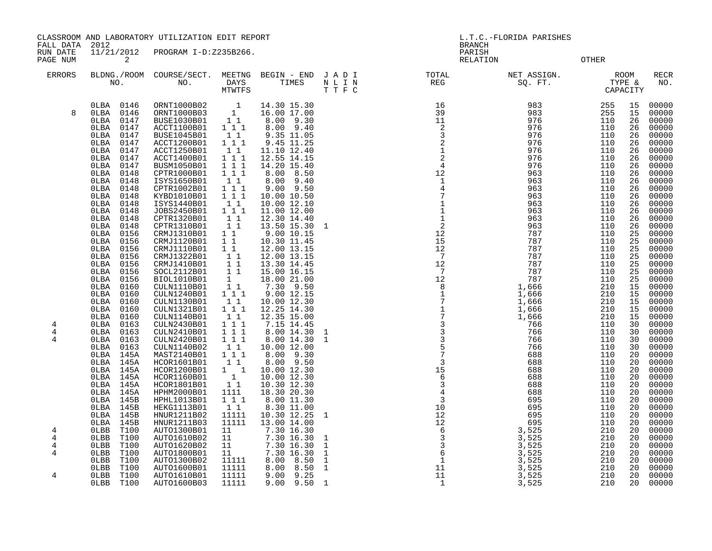CLASSROOM AND LABORATORY UTILIZATION EDIT REPORT LETTER LORIDA PARISHES L.T.C.-FLORIDA PARISHES

FALL DATA 2012 BRANCH

RUN DATE 11/21/2012 PROGRAM I-D:Z235B266.<br>PAGE NUM 2<br>PAGE NUM 2 PAGE NUM 2 RELATION OTHER

|  |  | OTHE |
|--|--|------|
|  |  |      |

| <b>ERRORS</b> | NO.                             | BLDNG./ROOM COURSE/SECT.<br>NO. | MEETNG<br>DAYS<br>MTWTFS                   | BEGIN - END<br>TIMES       | JADI<br>N L I N<br>T T F C | TOTAL<br>REG | NET ASSIGN.<br>SQ. FT. | TYPE &<br>CAPACITY | ROOM     | RECR<br>NO.    |
|---------------|---------------------------------|---------------------------------|--------------------------------------------|----------------------------|----------------------------|--------------|------------------------|--------------------|----------|----------------|
| 8             | 0146<br>0LBA<br>0146<br>0LBA    | ORNT1000B02<br>ORNT1000B03      | $\overline{\phantom{0}}$<br>$\overline{1}$ | 14.30 15.30<br>16.00 17.00 |                            |              | 983<br>983             | 255<br>255         | 15<br>15 | 00000<br>00000 |
|               | 0LBA<br>0147                    | <b>BUSE1030B01</b>              | 1 1                                        | 8.00 9.30                  |                            |              | 976                    | 110                | 26       | 00000          |
|               | OLBA<br>0147                    | ACCT1100B01                     | 111                                        | 8.00 9.40                  |                            |              | 976                    | 110                | 26       | 00000          |
|               | 0147<br>OLBA                    | <b>BUSE1045B01</b>              | $1\quad1$                                  | 9.35 11.05                 |                            |              | 976                    | 110                | 26       | 00000          |
|               | 0LBA<br>0147                    | ACCT1200B01                     | 1 1 1                                      | 9.45 11.25                 |                            |              | 976                    | 110                | 26       | 00000          |
|               | 0147<br>OLBA                    | ACCT1250B01                     | 1 1                                        | 11.10 12.40                |                            |              | 976                    | 110                | 26       | 00000          |
|               | 0LBA<br>0147                    | ACCT1400B01                     | $1\ 1\ 1$                                  | 12.55 14.15                |                            |              | 976                    | 110                | 26       | 00000          |
|               | 0LBA<br>0147                    | BUSM1050B01                     | 111                                        | 14.20 15.40                |                            |              | 976                    | 110                | 26       | 00000          |
|               | 0LBA<br>0148                    | CPTR1000B01                     | 111                                        | 8.00 8.50                  |                            |              | 963                    | 110                | 26       | 00000          |
|               | OLBA<br>0148                    | ISYS1650B01                     | 11                                         | 8.00 9.40                  |                            |              | 963                    | 110                | 26       | 00000          |
|               | 0148<br>OLBA                    | CPTR1002B01                     | $1 1 1$                                    | $9.00$ $9.50$              |                            |              | 963                    | 110                | 26       | 00000          |
|               | OLBA<br>0148<br>0148<br>0LBA    | KYBD1010B01<br>ISYS1440B01      | 1 1 1<br>1 1                               | 10.00 10.50<br>10.00 12.10 |                            |              | 963<br>963             | 110<br>110         | 26<br>26 | 00000<br>00000 |
|               | 0LBA<br>0148                    | JOBS2450B01                     | 1 1 1                                      | 11.00 12.00                |                            |              | 963                    | 110                | 26       | 00000          |
|               | 0LBA<br>0148                    | CPTR1320B01                     | 11                                         | 12.30 14.40                |                            |              | 963                    | 110                | 26       | 00000          |
|               | 0LBA<br>0148                    | CPTR1310B01                     | 11                                         | 13.50 15.30                | $\mathbf{1}$               |              | 963                    | 110                | 26       | 00000          |
|               | 0LBA<br>0156                    | CRMJ1310B01                     | $1\quad1$                                  | 9.00 10.15                 |                            |              | 787                    | 110                | 25       | 00000          |
|               | 0156<br>OLBA                    | CRMJ1120B01                     | $1\quad1$                                  | 10.30 11.45                |                            |              | 787                    | 110                | 25       | 00000          |
|               | 0156<br>OLBA                    | CRMJ1110B01                     | 1 1                                        | 12.00 13.15                |                            |              | 787                    | 110                | 25       | 00000          |
|               | 0156<br>0LBA                    | CRMJ1322B01                     | $1\quad1$                                  | 12.00 13.15                |                            |              | 787                    | 110                | 25       | 00000          |
|               | 0156<br>OLBA                    | CRMJ1410B01                     | $1\quad1$                                  | 13.30 14.45                |                            |              | 787                    | 110                | 25       | 00000          |
|               | 0LBA<br>0156                    | SOCL2112B01                     | $1\quad1$                                  | 15.00 16.15                |                            |              | 787                    | 110                | 25       | 00000          |
|               | 0156<br>0LBA<br>0LBA<br>0160    | BIOL1010B01<br>CULN1110B01      | 1<br>$1\quad1$                             | 18.00 21.00<br>7.30 9.50   |                            |              | 787<br>1,666           | 110<br>210         | 25<br>15 | 00000<br>00000 |
|               | 0160<br>0LBA                    | CULN1240B01                     | 111                                        | 9.00 12.15                 |                            |              | 1,666                  | 210                | 15       | 00000          |
|               | 0LBA<br>0160                    | CULN1130B01                     | $1\quad1$                                  | 10.00 12.30                |                            |              | 1,666                  | 210                | 15       | 00000          |
|               | 0LBA<br>0160                    | CULN1321B01                     | 111                                        | 12.25 14.30                |                            |              | 1,666                  | 210                | 15       | 00000          |
|               | OLBA<br>0160                    | CULN1140B01                     | 1 1                                        | 12.35 15.00                |                            |              | 1,666                  | 210                | 15       | 00000          |
| 4             | 0163<br>0LBA                    | CULN2430B01                     | 111                                        | 7.15 14.45                 |                            |              | 766                    | 110                | 30       | 00000          |
| $\,4$         | 0LBA<br>0163                    | CULN2410B01                     | 111                                        | 8.00 14.30                 | 1                          |              | 766                    | 110                | 30       | 00000          |
| 4             | OLBA<br>0163                    | CULN2420B01                     | 1 1 1                                      | 8.00 14.30                 | $\mathbf{1}$               |              | 766                    | 110                | 30       | 00000          |
|               | 0163<br>0LBA                    | CULN1140B02<br>MAST2140B01      | 11                                         | 10.00 12.00                |                            |              | 766                    | 110                | 30       | 00000          |
|               | 145A<br>0LBA<br>$0$ LBA<br>145A | HCOR1601B01                     | 111<br>$1\quad1$                           | 8.00 9.30<br>8.00 9.50     |                            |              | 688<br>688             | 110<br>110         | 20<br>20 | 00000<br>00000 |
|               | OLBA 145A                       | HCOR1200B01                     | $1 \quad 1$                                | 10.00 12.30                |                            |              | 688                    | 110                | 20       | 00000          |
|               | OLBA<br>145A                    | HCOR1160B01                     | $\mathbf{1}$                               | 10.00 12.30                |                            |              | 688                    | 110                | 20       | 00000          |
|               | OLBA<br>145A                    | HCOR1801B01                     | 11                                         | 10.30 12.30                |                            |              | 688                    | 110                | 20       | 00000          |
|               | OLBA<br>145A                    | HPHM2000B01                     | 1111                                       | 18.30 20.30                |                            |              | 688                    | 110                | 20       | 00000          |
|               | 145B<br>0LBA                    | HPHL1013B01                     | 111                                        | 8.00 11.30                 |                            |              | 695                    | 110                | 20       | 00000          |
|               | 145B<br>OLBA                    | <b>HEKG1113B01</b>              | 1 1                                        | 8.30 11.00                 |                            |              | 695                    | 110                | 20       | 00000          |
|               | 145B<br>OLBA                    | HNUR1211B02                     | 11111                                      | 10.30 12.25                | $\mathbf{1}$               |              | 695                    | 110                | 20       | 00000          |
|               | 0LBA<br>145B                    | HNUR1211B03                     | 11111                                      | 13.00 14.00                |                            |              | 695                    | 110                | 20       | 00000          |
| 4             | 0LBB<br>T100                    | AUTO1300B01                     | 11                                         | 7.30 16.30                 |                            |              | 3,525                  | 210                | 20       | 00000          |
| 4<br>4        | 0LBB<br>T100<br>0LBB<br>T100    | AUTO1610B02                     | 11<br>11                                   | 7.30 16.30<br>7.30 16.30   | 1<br>$\mathbf{1}$          |              | 3,525<br>3,525         | 210<br>210         | 20<br>20 | 00000<br>00000 |
| 4             | 0LBB<br>T100                    | AUTO1620B02<br>AUTO1800B01      | 11                                         | 7.30 16.30                 | $\mathbf{1}$               |              | 3,525                  | 210                | 20       | 00000          |
|               | T100<br>0LBB                    | AUTO1300B02                     | 11111                                      | 8.00 8.50                  | $\mathbf{1}$               |              | 3,525                  | 210                | 20       | 00000          |
|               | 0LBB<br>T100                    | AUTO1600B01                     | 11111                                      | 8.00<br>8.50               | $\mathbf{1}$               |              | 3,525                  | 210                | 20       | 00000          |
| 4             | 0LBB<br>T100                    | AUTO1610B01                     | 11111                                      | 9.00<br>9.25               |                            |              | 3,525                  | 210                | 20       | 00000          |
|               | T100<br>$0$ LBB                 | AUTO1600B03                     | 11111                                      | 9.50<br>9.00               | $\overline{1}$             |              | 3,525                  | 210                | 20       | 00000          |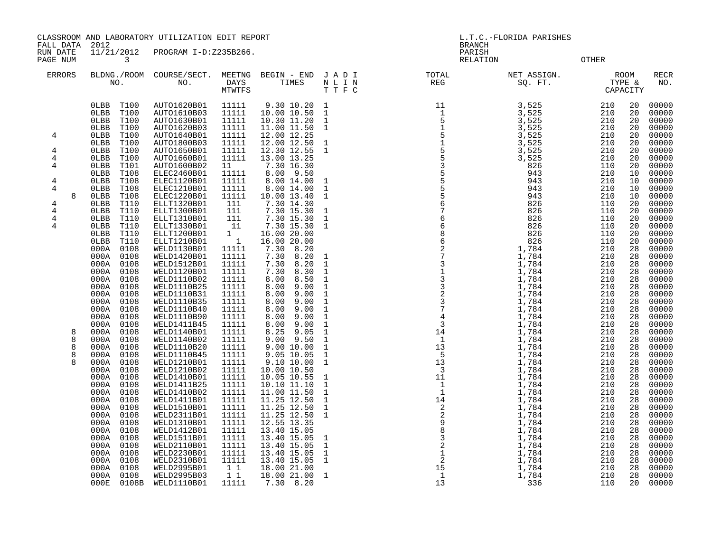CLASSROOM AND LABORATORY UTILIZATION EDIT REPORT LETTER LORIDA PARISHES L.T.C.-FLORIDA PARISHES

FALL DATA 2012 BRANCH RUN DATE  $\overline{11/21/2012}$  PROGRAM I-D:Z235B266. PARISH

PAGE NUM 3 RELATION OTHER

| <b>ERRORS</b>                                                                        | NO.                                                                                                                                                                                                                                                                                                                                                                                                                                                                                                                                                                                                                                                                                                                                                                                                                                                       | BLDNG./ROOM COURSE/SECT.<br>NO.                                                                                                                                                                                                                                                                                                                                                                                                                                                                                                                                                                                                                                                                                                                                                                 | MEETNG<br>DAYS<br>MTWTFS                                                                                                                                                                                                                                                                                                                                                                                                                                                                     | BEGIN - END<br>TIMES                                                                                                                                                                                                                                                                                                                                                                                                                                                                                                                                                                                                                                                                                                                                                                    | JADI<br>$\begin{array}{ccccc} \text{N} & \text{L} & \text{I} & \text{N} \\ \text{T} & \text{T} & \text{F} & \text{C} \end{array}$                                                                                                                                                                                                                                                                                                                                                                                                                                                    | TOTAL<br>REG | NET ASSIGN.<br>SQ. FT.                                                                                                                                                                                                                                                                                                                                                                                                                                                                    | <b>ROOM</b><br>TIGET<br>TYPE &<br>CAPACIT!<br>CAPACITY                                                                                                                                                                                                                                                                                                            |                                                                                                                                                                                                                                                                                                                | <b>RECR</b><br>NO.                                                                                                                                                                                                                                                                                                                                                                                                                                                      |
|--------------------------------------------------------------------------------------|-----------------------------------------------------------------------------------------------------------------------------------------------------------------------------------------------------------------------------------------------------------------------------------------------------------------------------------------------------------------------------------------------------------------------------------------------------------------------------------------------------------------------------------------------------------------------------------------------------------------------------------------------------------------------------------------------------------------------------------------------------------------------------------------------------------------------------------------------------------|-------------------------------------------------------------------------------------------------------------------------------------------------------------------------------------------------------------------------------------------------------------------------------------------------------------------------------------------------------------------------------------------------------------------------------------------------------------------------------------------------------------------------------------------------------------------------------------------------------------------------------------------------------------------------------------------------------------------------------------------------------------------------------------------------|----------------------------------------------------------------------------------------------------------------------------------------------------------------------------------------------------------------------------------------------------------------------------------------------------------------------------------------------------------------------------------------------------------------------------------------------------------------------------------------------|-----------------------------------------------------------------------------------------------------------------------------------------------------------------------------------------------------------------------------------------------------------------------------------------------------------------------------------------------------------------------------------------------------------------------------------------------------------------------------------------------------------------------------------------------------------------------------------------------------------------------------------------------------------------------------------------------------------------------------------------------------------------------------------------|--------------------------------------------------------------------------------------------------------------------------------------------------------------------------------------------------------------------------------------------------------------------------------------------------------------------------------------------------------------------------------------------------------------------------------------------------------------------------------------------------------------------------------------------------------------------------------------|--------------|-------------------------------------------------------------------------------------------------------------------------------------------------------------------------------------------------------------------------------------------------------------------------------------------------------------------------------------------------------------------------------------------------------------------------------------------------------------------------------------------|-------------------------------------------------------------------------------------------------------------------------------------------------------------------------------------------------------------------------------------------------------------------------------------------------------------------------------------------------------------------|----------------------------------------------------------------------------------------------------------------------------------------------------------------------------------------------------------------------------------------------------------------------------------------------------------------|-------------------------------------------------------------------------------------------------------------------------------------------------------------------------------------------------------------------------------------------------------------------------------------------------------------------------------------------------------------------------------------------------------------------------------------------------------------------------|
| $\overline{4}$<br>4<br>4<br>4<br>4<br>4<br>8<br>4<br>4<br>4<br>4<br>8<br>8<br>8<br>8 | T100<br>0LBB<br>0LBB<br>T100<br>T100<br>0LBB<br>0LBB<br>T100<br>T100<br>$0$ LBB<br>$0$ LBB<br>T100<br>$0$ LBB<br>T100<br>0LBB<br>T100<br>$0$ LBB<br>T101<br>0LBB<br>T108<br>0LBB<br>T108<br>T108<br>$0$ LBB<br>0LBB<br>T108<br>0LBB<br>T110<br>T110<br>$0$ LBB<br>0LBB<br>T110<br>0LBB<br>T110<br>0LBB<br>T110<br>$0$ LBB<br>T110<br>0108<br>000A<br>000A<br>0108<br>000A<br>0108<br>000A<br>0108<br>000A<br>0108<br>000A<br>0108<br>000A<br>0108<br>000A<br>0108<br>000A<br>0108<br>000A<br>0108<br>000A<br>0108<br>0108<br>000A<br>0108<br>000A<br>0108<br>000A<br>0108<br>000A<br>0108<br>000A<br>0108<br>000A<br>0108<br>000A<br>000A<br>0108<br>000A<br>0108<br>000A<br>0108<br>000A<br>0108<br>000A<br>0108<br>000A<br>0108<br>000A<br>0108<br>000A<br>0108<br>000A<br>0108<br>000A<br>0108<br>000A<br>0108<br>000A<br>0108<br>0108<br>000A<br>000E | AUTO1620B01<br>AUTO1610B03<br>AUTO1630B01<br>AUTO1620B03<br>AUTO1640B01<br>AUTO1800B03<br>AUTO1650B01<br>AUTO1660B01<br>AUTO1600B02<br>ELEC2460B01<br>ELEC1120B01<br>ELEC1210B01<br>ELEC1220B01<br>ELLT1320B01<br>ELLT1300B01<br>ELLT1310B01<br>ELLT1330B01<br>ELLT1200B01<br>ELLT1210B01<br>WELD1130B01<br>WELD1420B01<br>WELD1512B01<br>WELD1120B01<br>WELD1110B02<br>WELD1110B25<br>WELD1110B31<br>WELD1110B35<br>WELD1110B40<br>WELD1110B90<br>WELD1411B45<br>WELD1140B01<br>WELD1140B02<br>WELD1110B20<br>WELD1110B45<br>WELD1210B01<br>WELD1210B02<br>WELD1410B01<br>WELD1411B25<br>WELD1410B02<br>WELD1411B01<br>WELD1510B01<br>WELD2311B01<br>WELD1310B01<br>WELD1412B01<br>WELD1511B01<br>WELD2110B01<br>WELD2230B01<br>WELD2310B01<br>WELD2995B01<br>WELD2995B03<br>0108B WELD1110B01 | 11111<br>11111<br>11111<br>11111<br>11111<br>11111<br>11111<br>11111<br>11<br>11111<br>11111<br>11111<br>11111<br>111<br>111<br>111<br>11<br>$\begin{smallmatrix}1&&\\&1\end{smallmatrix}$<br>11111<br>11111<br>11111<br>11111<br>11111<br>11111<br>11111<br>11111<br>11111<br>11111<br>11111<br>11111<br>11111<br>11111<br>11111<br>11111<br>11111<br>11111<br>11111<br>11111<br>11111<br>11111<br>11111<br>11111<br>11111<br>11111<br>11111<br>11111<br>11111<br>1 1<br>$1\quad1$<br>11111 | 9.30 10.20<br>10.00 10.50<br>10.30 11.20<br>11.00 11.50<br>12.00 12.25<br>12.00 12.50<br>12.30 12.55<br>13.00 13.25<br>7.30 16.30<br>8.00 9.50<br>8.00 14.00<br>8.00 14.00<br>10.00 13.40<br>7.30 14.30<br>7.30 15.30<br>7.30 15.30<br>7.30 15.30<br>16.00 20.00<br>16.00 20.00<br>7.30 8.20<br>7.30<br>8.20<br>7.30<br>8.20<br>7.30<br>8.30<br>8.50<br>8.00<br>9.00<br>8.00<br>9.00<br>8.00<br>8.00<br>9.00<br>9.00<br>8.00<br>9.00<br>8.00<br>9.00<br>8.00<br>8.25<br>9.05<br>$9.00$ $9.50$<br>9.00 10.00<br>9.05 10.05<br>9.10 10.00<br>10.00 10.50<br>10.05 10.55<br>10.10 11.10<br>11.00 11.50<br>11.25 12.50<br>$11.25$ 12.50<br>11.25 12.50<br>12.55 13.35<br>13.40 15.05<br>13.40 15.05<br>13.40 15.05<br>13.40 15.05<br>13.40 15.05<br>18.00 21.00<br>18.00 21.00<br>7.30 8.20 | $\mathbf{1}$<br>$\mathbf{1}$<br>$\mathbf{1}$<br>$\mathbf{1}$<br>$\mathbf{1}$<br>$\mathbf{1}$<br>$\mathbf{1}$<br>$\mathbf{1}$<br>$\mathbf{1}$<br>$\mathbf 1$<br>$\mathbf 1$<br>$\mathbf{1}$<br>$\mathbf{1}$<br>$\mathbf 1$<br>$\mathbf{1}$<br>$\mathbf{1}$<br>$\mathbf 1$<br>$\mathbf 1$<br>$\mathbf{1}$<br>$1\,$<br>$\mathbf{1}$<br>$\mathbf{1}$<br>$1\,$<br>$1\,$<br>$\mathbf{1}$<br>$\mathbf{1}$<br>$\mathbf{1}$<br>$\mathbf{1}$<br>$\mathbf{1}$<br>$\mathbf{1}$<br>$\mathbf{1}$<br>$1\,$<br>$\mathbf{1}$<br>$\mathbf{1}$<br>$\mathbf{1}$<br>$1\,$<br>$\mathbf{1}$<br>$\mathbf{1}$ |              | 3,525<br>3,525<br>3,525<br>3,525<br>3,525<br>3,525<br>3,525<br>3,525<br>826<br>943<br>943<br>943<br>943<br>826<br>826<br>826<br>826<br>826<br>826<br>$1,784$<br>$1,784$<br>$1,784$<br>$\frac{1}{1}$ , 784<br>1, 784<br>1,784<br>1,784<br>1,784<br>1,784<br>1,784<br>$1,784$<br>1,784<br>1,784<br>$1,784$<br>$1,784$<br>1,784<br>$\frac{1}{1}$ , 784<br>1, 784<br>1,784<br>1,784<br>1,784<br>1,784<br>1,784<br>1,784<br>1,784<br>1,784<br>1,784<br>1,784<br>1,784<br>1,784<br>1,784<br>336 | 210<br>210<br>210<br>210<br>210<br>210<br>210<br>210<br>110<br>210<br>210<br>210<br>210<br>110<br>110<br>110<br>110<br>110<br>110<br>210<br>210<br>210<br>210<br>210<br>210<br>210<br>210<br>210<br>210<br>210<br>210<br>210<br>210<br>210<br>210<br>210<br>210<br>210<br>210<br>210<br>210<br>210<br>210<br>210<br>210<br>210<br>210<br>210<br>210<br>210<br>110 | 20<br>20<br>20<br>20<br>20<br>20<br>20<br>20<br>20<br>10<br>10<br>10<br>10<br>20<br>20<br>20<br>20<br>20<br>20<br>28<br>28<br>28<br>28<br>28<br>28<br>28<br>28<br>28<br>28<br>28<br>28<br>28<br>28<br>28<br>28<br>28<br>28<br>28<br>28<br>28<br>28<br>28<br>28<br>28<br>28<br>28<br>28<br>28<br>28<br>28<br>20 | 00000<br>00000<br>00000<br>00000<br>00000<br>00000<br>00000<br>00000<br>00000<br>00000<br>00000<br>00000<br>00000<br>00000<br>00000<br>00000<br>00000<br>00000<br>00000<br>00000<br>00000<br>00000<br>00000<br>00000<br>00000<br>00000<br>00000<br>00000<br>00000<br>00000<br>00000<br>00000<br>00000<br>00000<br>00000<br>00000<br>00000<br>00000<br>00000<br>00000<br>00000<br>00000<br>00000<br>00000<br>00000<br>00000<br>00000<br>00000<br>00000<br>00000<br>00000 |
|                                                                                      |                                                                                                                                                                                                                                                                                                                                                                                                                                                                                                                                                                                                                                                                                                                                                                                                                                                           |                                                                                                                                                                                                                                                                                                                                                                                                                                                                                                                                                                                                                                                                                                                                                                                                 |                                                                                                                                                                                                                                                                                                                                                                                                                                                                                              |                                                                                                                                                                                                                                                                                                                                                                                                                                                                                                                                                                                                                                                                                                                                                                                         |                                                                                                                                                                                                                                                                                                                                                                                                                                                                                                                                                                                      |              |                                                                                                                                                                                                                                                                                                                                                                                                                                                                                           |                                                                                                                                                                                                                                                                                                                                                                   |                                                                                                                                                                                                                                                                                                                |                                                                                                                                                                                                                                                                                                                                                                                                                                                                         |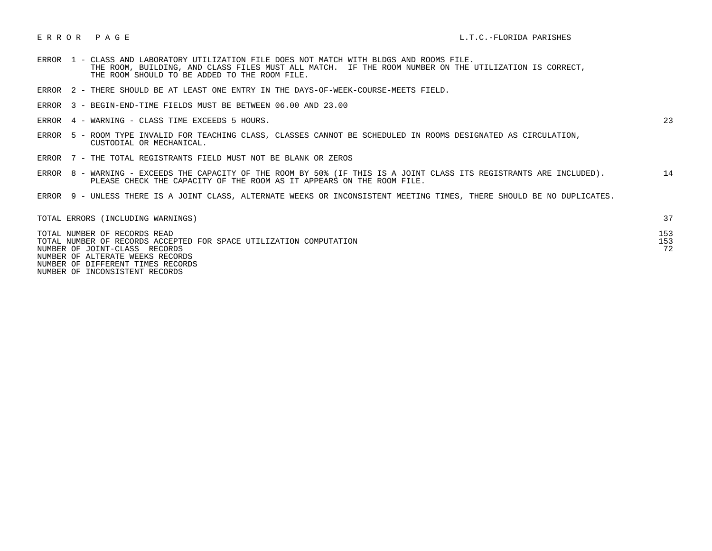- ERROR 1 CLASS AND LABORATORY UTILIZATION FILE DOES NOT MATCH WITH BLDGS AND ROOMS FILE. THE ROOM, BUILDING, AND CLASS FILES MUST ALL MATCH. IF THE ROOM NUMBER ON THE UTILIZATION IS CORRECT, THE ROOM SHOULD TO BE ADDED TO THE ROOM FILE.
- ERROR 2 THERE SHOULD BE AT LEAST ONE ENTRY IN THE DAYS-OF-WEEK-COURSE-MEETS FIELD.
- ERROR 3 BEGIN-END-TIME FIELDS MUST BE BETWEEN 06.00 AND 23.00
- ERROR 4 WARNING CLASS TIME EXCEEDS 5 HOURS. 23

- ERROR 5 ROOM TYPE INVALID FOR TEACHING CLASS, CLASSES CANNOT BE SCHEDULED IN ROOMS DESIGNATED AS CIRCULATION, CUSTODIAL OR MECHANICAL.
- ERROR 7 THE TOTAL REGISTRANTS FIELD MUST NOT BE BLANK OR ZEROS
- ERROR 8 WARNING EXCEEDS THE CAPACITY OF THE ROOM BY 50% (IF THIS IS A JOINT CLASS ITS REGISTRANTS ARE INCLUDED). 14 PLEASE CHECK THE CAPACITY OF THE ROOM AS IT APPEARS ON THE ROOM FILE.
- ERROR 9 UNLESS THERE IS A JOINT CLASS, ALTERNATE WEEKS OR INCONSISTENT MEETING TIMES, THERE SHOULD BE NO DUPLICATES.

| TOTAL ERRORS (INCLUDING WARNINGS)                                                                   |           |
|-----------------------------------------------------------------------------------------------------|-----------|
| TOTAL NUMBER OF RECORDS READ                                                                        | 153       |
| TOTAL NUMBER OF RECORDS ACCEPTED FOR SPACE UTILIZATION COMPUTATION<br>NUMBER OF JOINT-CLASS RECORDS | 153<br>72 |
| NUMBER OF ALTERATE WEEKS RECORDS                                                                    |           |
| NUMBER OF DIFFERENT TIMES RECORDS                                                                   |           |

NUMBER OF INCONSISTENT RECORDS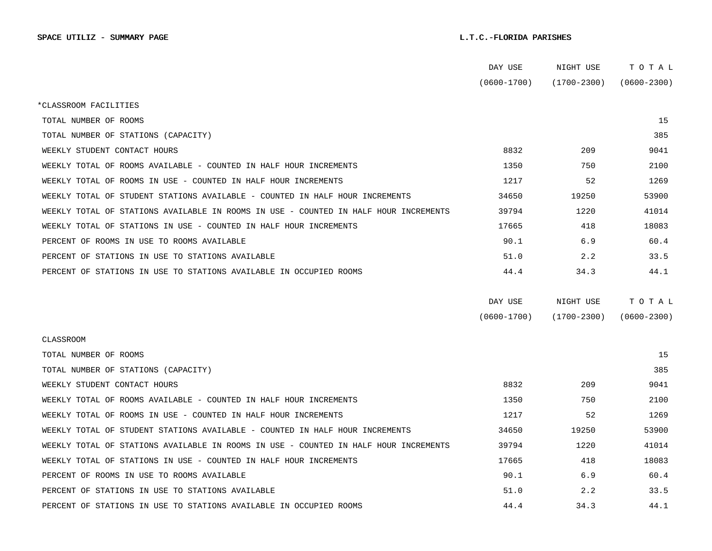|                                                                                      | DAY USE         | NIGHT USE       | тотаь           |  |
|--------------------------------------------------------------------------------------|-----------------|-----------------|-----------------|--|
|                                                                                      | $(0600 - 1700)$ | $(1700 - 2300)$ | $(0600 - 2300)$ |  |
| *CLASSROOM FACILITIES                                                                |                 |                 |                 |  |
| TOTAL NUMBER OF ROOMS                                                                |                 |                 | 15              |  |
| TOTAL NUMBER OF STATIONS (CAPACITY)                                                  |                 |                 | 385             |  |
| WEEKLY STUDENT CONTACT HOURS                                                         | 8832            | 209             | 9041            |  |
| WEEKLY TOTAL OF ROOMS AVAILABLE - COUNTED IN HALF HOUR INCREMENTS                    | 1350            | 750             | 2100            |  |
| WEEKLY TOTAL OF ROOMS IN USE - COUNTED IN HALF HOUR INCREMENTS                       | 1217            | 52              | 1269            |  |
| WEEKLY TOTAL OF STUDENT STATIONS AVAILABLE - COUNTED IN HALF HOUR INCREMENTS         | 34650           | 19250           | 53900           |  |
| WEEKLY TOTAL OF STATIONS AVAILABLE IN ROOMS IN USE - COUNTED IN HALF HOUR INCREMENTS | 39794           | 1220            | 41014           |  |
| WEEKLY TOTAL OF STATIONS IN USE - COUNTED IN HALF HOUR INCREMENTS                    | 17665           | 418             | 18083           |  |
| PERCENT OF ROOMS IN USE TO ROOMS AVAILABLE                                           | 90.1            | 6.9             | 60.4            |  |
| PERCENT OF STATIONS IN USE TO STATIONS AVAILABLE                                     | 51.0            | 2.2             | 33.5            |  |
| PERCENT OF STATIONS IN USE TO STATIONS AVAILABLE IN OCCUPIED ROOMS                   | 44.4            | 34.3            | 44.1            |  |
|                                                                                      |                 |                 |                 |  |
|                                                                                      | DAY USE         | NIGHT USE       | TOTAL           |  |
|                                                                                      | $(0600 - 1700)$ | $(1700 - 2300)$ | $(0600 - 2300)$ |  |
| CLASSROOM                                                                            |                 |                 |                 |  |
| TOTAL NUMBER OF ROOMS                                                                |                 |                 | 15              |  |
| TOTAL NUMBER OF STATIONS (CAPACITY)                                                  |                 |                 | 385             |  |
| WEEKLY STUDENT CONTACT HOURS                                                         | 8832            | 209             | 9041            |  |
| WEEKLY TOTAL OF ROOMS AVAILABLE - COUNTED IN HALF HOUR INCREMENTS                    | 1350            | 750             | 2100            |  |
| WEEKLY TOTAL OF ROOMS IN USE - COUNTED IN HALF HOUR INCREMENTS                       | 1217            | 52              | 1269            |  |
| WEEKLY TOTAL OF STUDENT STATIONS AVAILABLE - COUNTED IN HALF HOUR INCREMENTS         | 34650           | 19250           | 53900           |  |
| WEEKLY TOTAL OF STATIONS AVAILABLE IN ROOMS IN USE - COUNTED IN HALF HOUR INCREMENTS | 39794           | 1220            | 41014           |  |
| WEEKLY TOTAL OF STATIONS IN USE - COUNTED IN HALF HOUR INCREMENTS                    | 17665           | 418             | 18083           |  |
| PERCENT OF ROOMS IN USE TO ROOMS AVAILABLE                                           | 90.1            | 6.9             | 60.4            |  |
| PERCENT OF STATIONS IN USE TO STATIONS AVAILABLE                                     | 51.0            | 2.2             | 33.5            |  |
| PERCENT OF STATIONS IN USE TO STATIONS AVAILABLE IN OCCUPIED ROOMS                   | 44.4            | 34.3            | 44.1            |  |